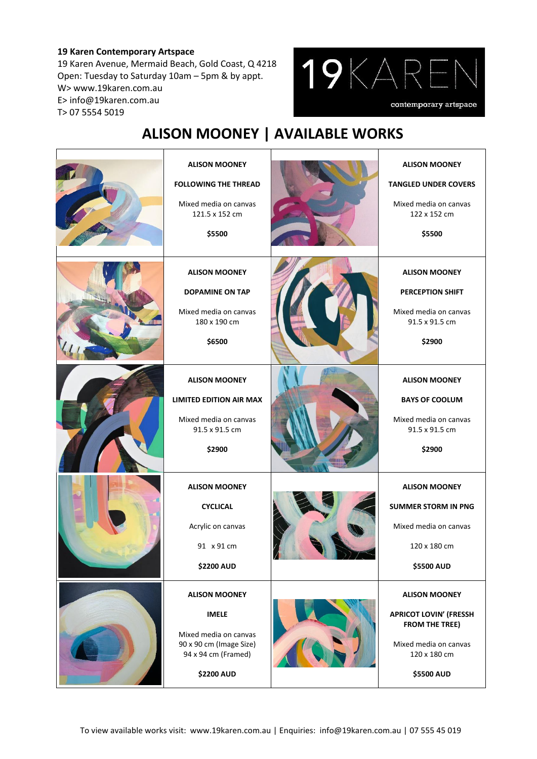## **19 Karen Contemporary Artspace**

19 Karen Avenue, Mermaid Beach, Gold Coast, Q 4218 Open: Tuesday to Saturday 10am – 5pm & by appt. W> www.19karen.com.au E> info@19karen.com.au T> 07 5554 5019



## **ALISON MOONEY | AVAILABLE WORKS**

| <b>ALISON MOONEY</b><br><b>FOLLOWING THE THREAD</b><br>Mixed media on canvas<br>121.5 x 152 cm<br>\$5500                             | <b>ALISON MOONEY</b><br><b>TANGLED UNDER COVERS</b><br>Mixed media on canvas<br>122 x 152 cm<br>\$5500                                |
|--------------------------------------------------------------------------------------------------------------------------------------|---------------------------------------------------------------------------------------------------------------------------------------|
| <b>ALISON MOONEY</b><br><b>DOPAMINE ON TAP</b><br>Mixed media on canvas<br>180 x 190 cm<br>\$6500                                    | <b>ALISON MOONEY</b><br><b>PERCEPTION SHIFT</b><br>Mixed media on canvas<br>91.5 x 91.5 cm<br>\$2900                                  |
| <b>ALISON MOONEY</b><br><b>LIMITED EDITION AIR MAX</b><br>Mixed media on canvas<br>91.5 x 91.5 cm<br>\$2900                          | <b>ALISON MOONEY</b><br><b>BAYS OF COOLUM</b><br>Mixed media on canvas<br>91.5 x 91.5 cm<br>\$2900                                    |
| <b>ALISON MOONEY</b><br><b>CYCLICAL</b><br>Acrylic on canvas<br>91 x 91 cm<br><b>\$2200 AUD</b>                                      | <b>ALISON MOONEY</b><br><b>SUMMER STORM IN PNG</b><br>Mixed media on canvas<br>120 x 180 cm<br>\$5500 AUD                             |
| <b>ALISON MOONEY</b><br><b>IMELE</b><br>Mixed media on canvas<br>90 x 90 cm (Image Size)<br>94 x 94 cm (Framed)<br><b>\$2200 AUD</b> | <b>ALISON MOONEY</b><br><b>APRICOT LOVIN' (FRESSH</b><br><b>FROM THE TREE)</b><br>Mixed media on canvas<br>120 x 180 cm<br>\$5500 AUD |